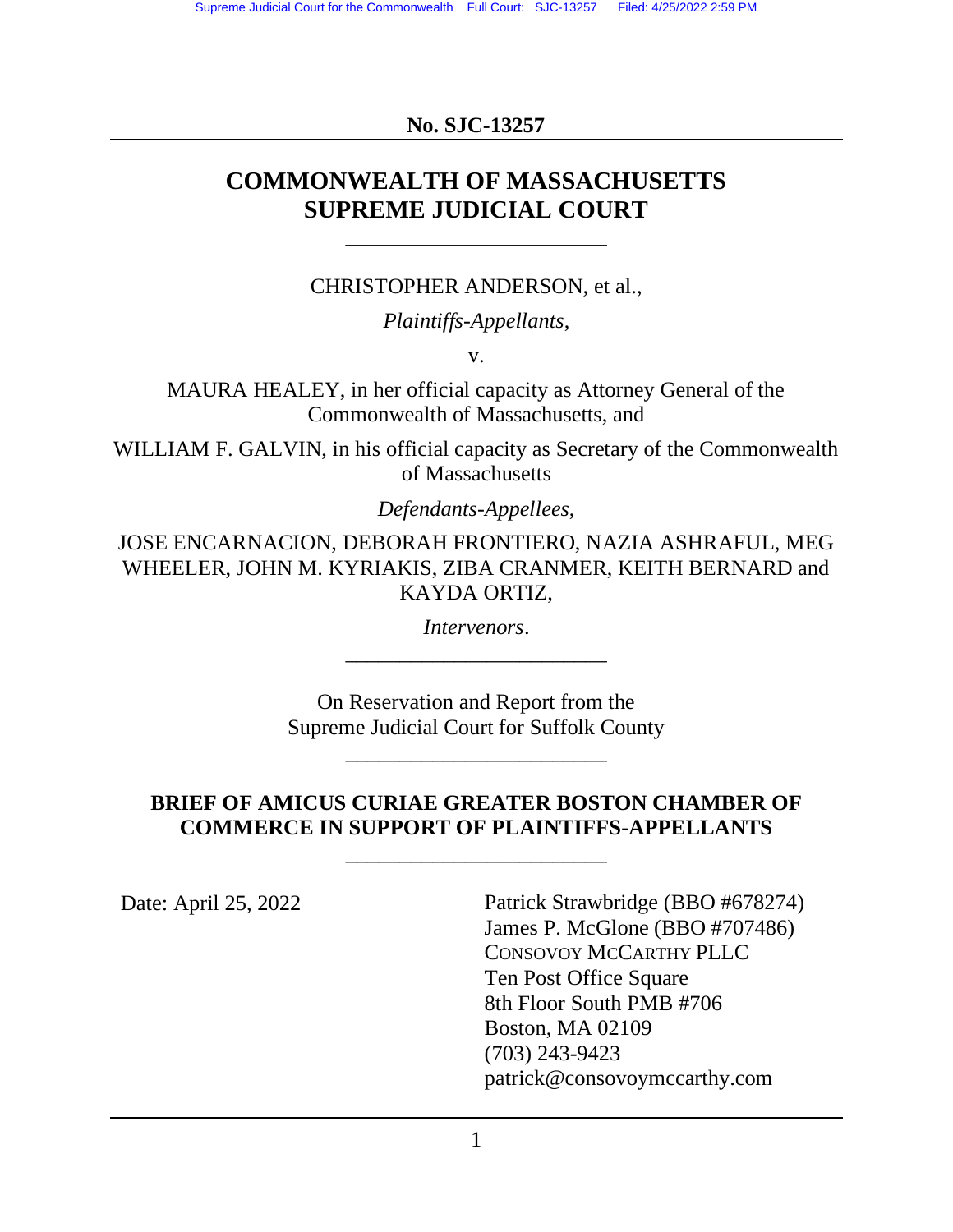## **No. SJC-13257**

# **COMMONWEALTH OF MASSACHUSETTS SUPREME JUDICIAL COURT**

\_\_\_\_\_\_\_\_\_\_\_\_\_\_\_\_\_\_\_\_\_\_\_\_

CHRISTOPHER ANDERSON, et al.,

*Plaintiffs-Appellants*,

v.

MAURA HEALEY, in her official capacity as Attorney General of the Commonwealth of Massachusetts, and

WILLIAM F. GALVIN, in his official capacity as Secretary of the Commonwealth of Massachusetts

*Defendants-Appellees*,

JOSE ENCARNACION, DEBORAH FRONTIERO, NAZIA ASHRAFUL, MEG WHEELER, JOHN M. KYRIAKIS, ZIBA CRANMER, KEITH BERNARD and KAYDA ORTIZ,

> *Intervenors*. \_\_\_\_\_\_\_\_\_\_\_\_\_\_\_\_\_\_\_\_\_\_\_\_

On Reservation and Report from the Supreme Judicial Court for Suffolk County

\_\_\_\_\_\_\_\_\_\_\_\_\_\_\_\_\_\_\_\_\_\_\_\_

## **BRIEF OF AMICUS CURIAE GREATER BOSTON CHAMBER OF COMMERCE IN SUPPORT OF PLAINTIFFS-APPELLANTS** \_\_\_\_\_\_\_\_\_\_\_\_\_\_\_\_\_\_\_\_\_\_\_\_

Date: April 25, 2022 Patrick Strawbridge (BBO #678274) James P. McGlone (BBO #707486) CONSOVOY MCCARTHY PLLC Ten Post Office Square 8th Floor South PMB #706 Boston, MA 02109 (703) 243-9423 patrick@consovoymccarthy.com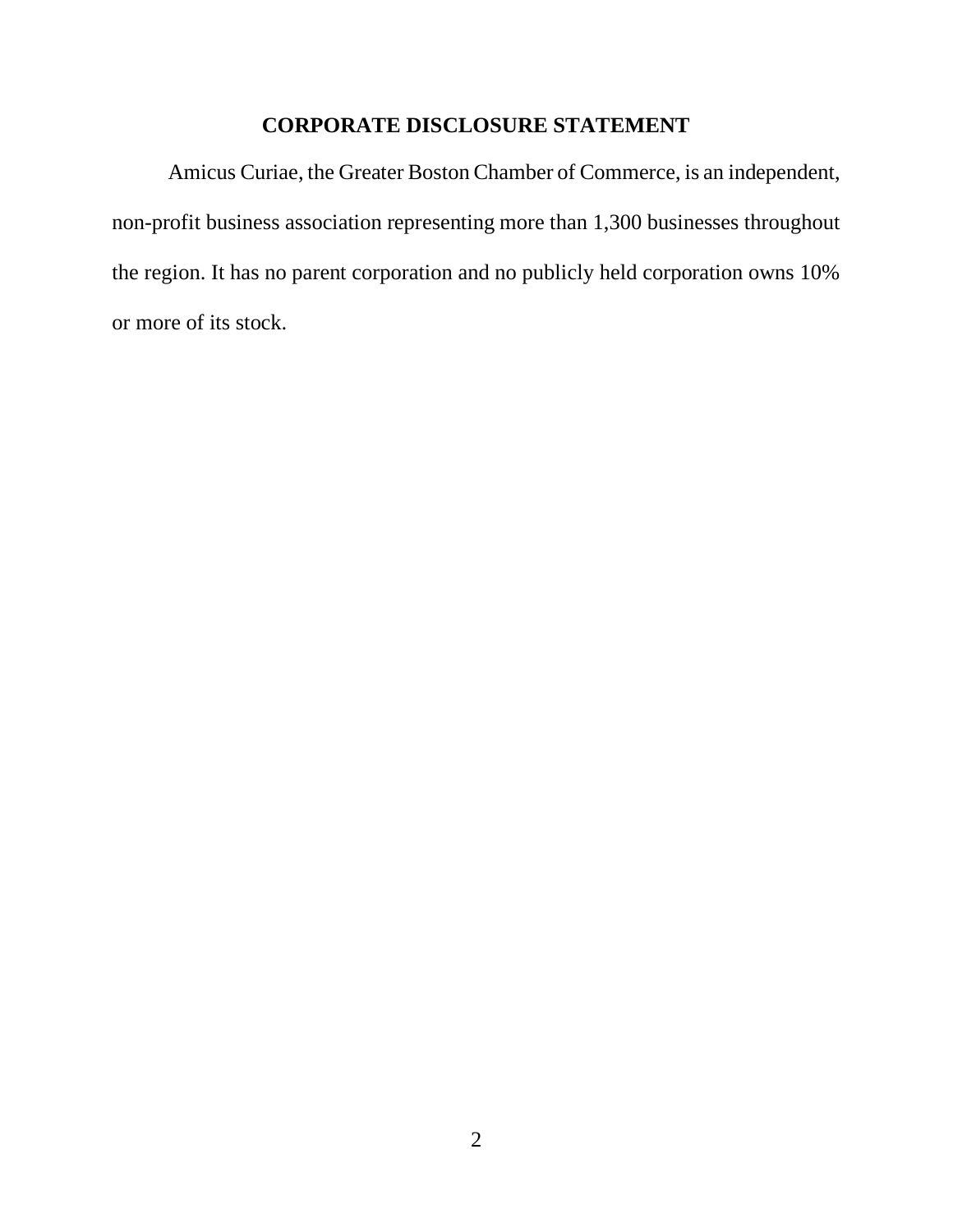## **CORPORATE DISCLOSURE STATEMENT**

<span id="page-1-0"></span>Amicus Curiae, the Greater Boston Chamber of Commerce, is an independent, non-profit business association representing more than 1,300 businesses throughout the region. It has no parent corporation and no publicly held corporation owns 10% or more of its stock.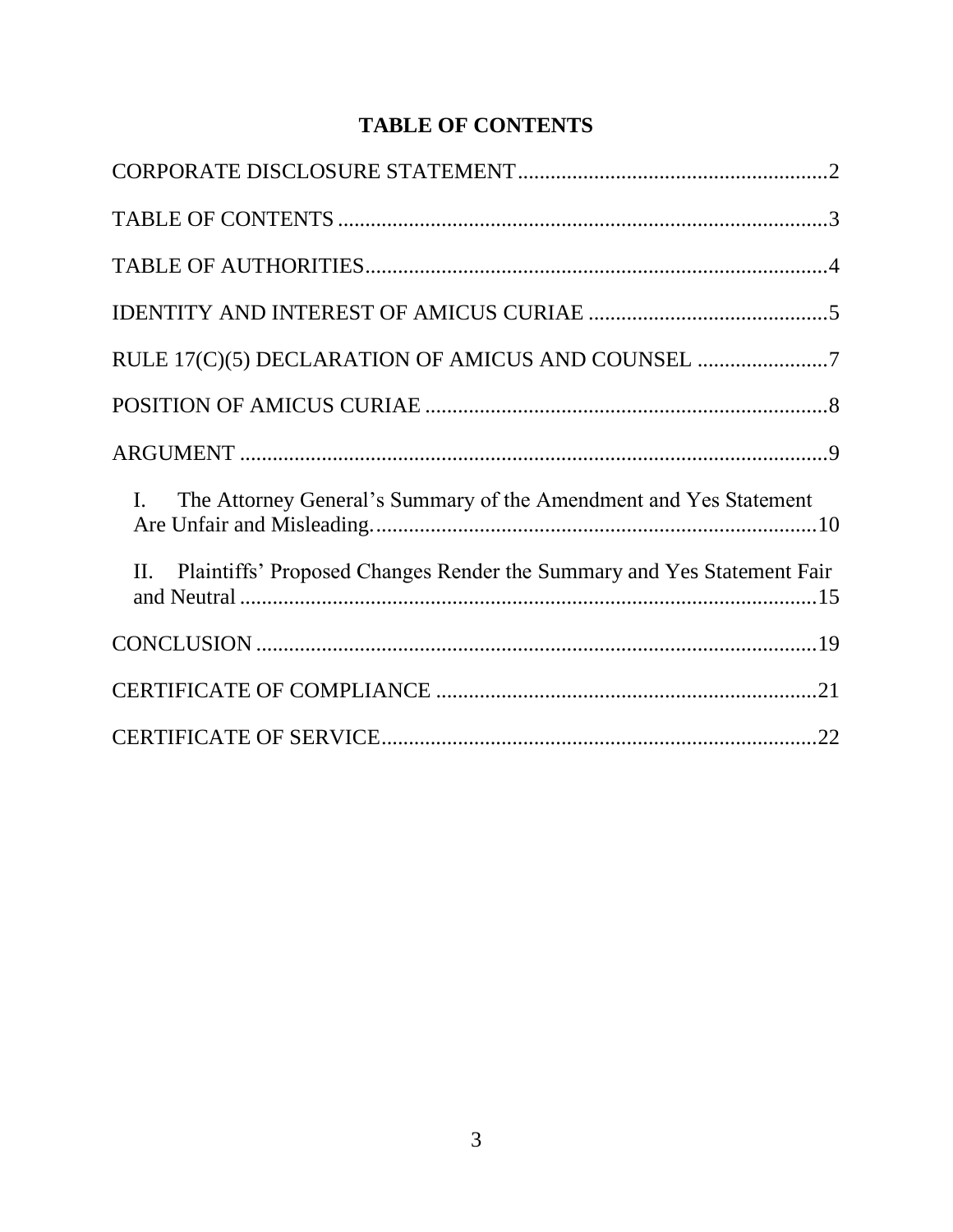## **TABLE OF CONTENTS**

<span id="page-2-0"></span>

| RULE 17(C)(5) DECLARATION OF AMICUS AND COUNSEL                                     |
|-------------------------------------------------------------------------------------|
|                                                                                     |
|                                                                                     |
| The Attorney General's Summary of the Amendment and Yes Statement<br>$\mathbf{I}$ . |
| Plaintiffs' Proposed Changes Render the Summary and Yes Statement Fair<br>$\Pi$ .   |
|                                                                                     |
|                                                                                     |
|                                                                                     |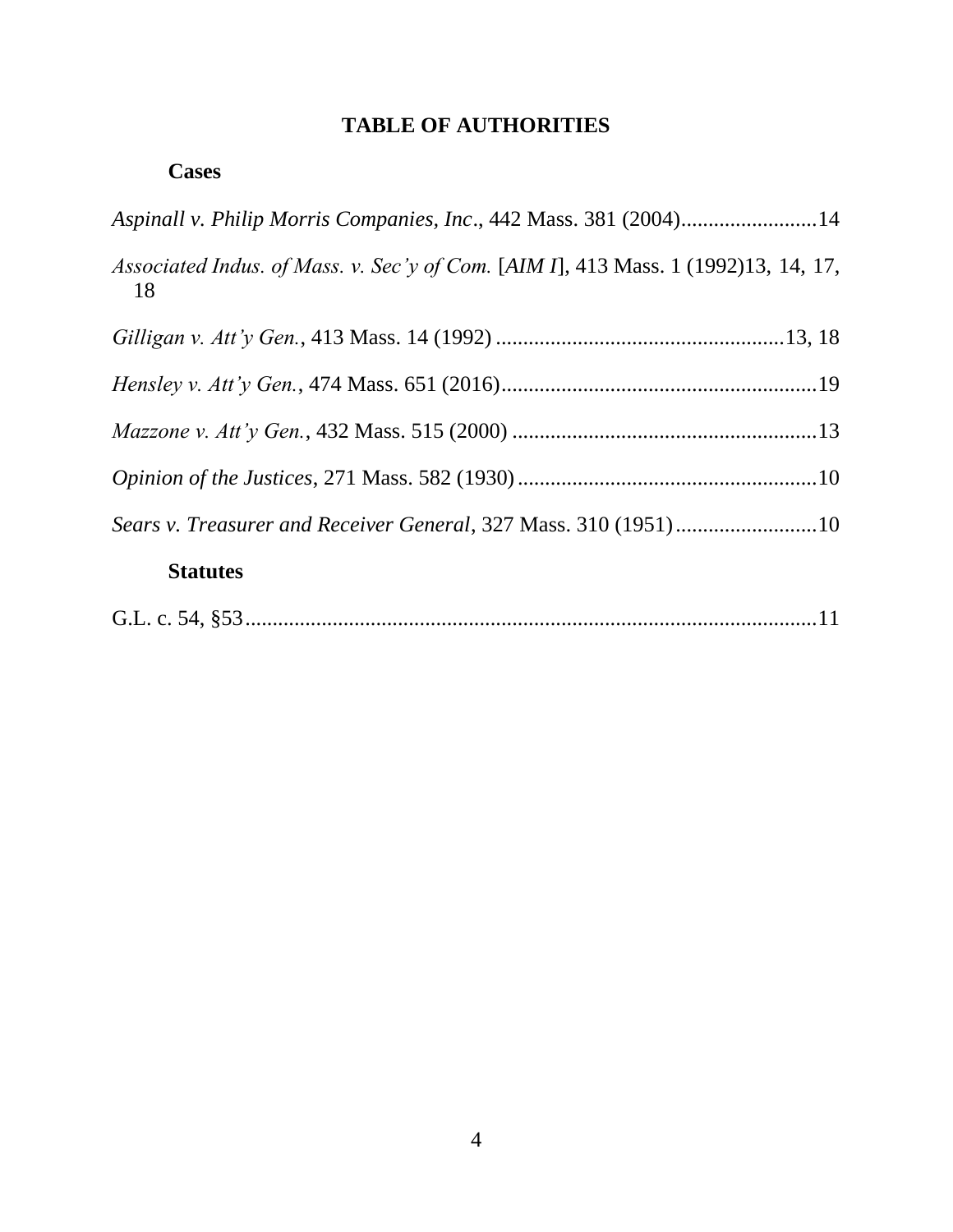## **TABLE OF AUTHORITIES**

<span id="page-3-0"></span>

| Aspinall v. Philip Morris Companies, Inc., 442 Mass. 381 (2004)14                        |
|------------------------------------------------------------------------------------------|
| Associated Indus. of Mass. v. Sec'y of Com. [AIM I], 413 Mass. 1 (1992)13, 14, 17,<br>18 |
|                                                                                          |
|                                                                                          |
|                                                                                          |
|                                                                                          |
|                                                                                          |
| <b>Statutes</b>                                                                          |
|                                                                                          |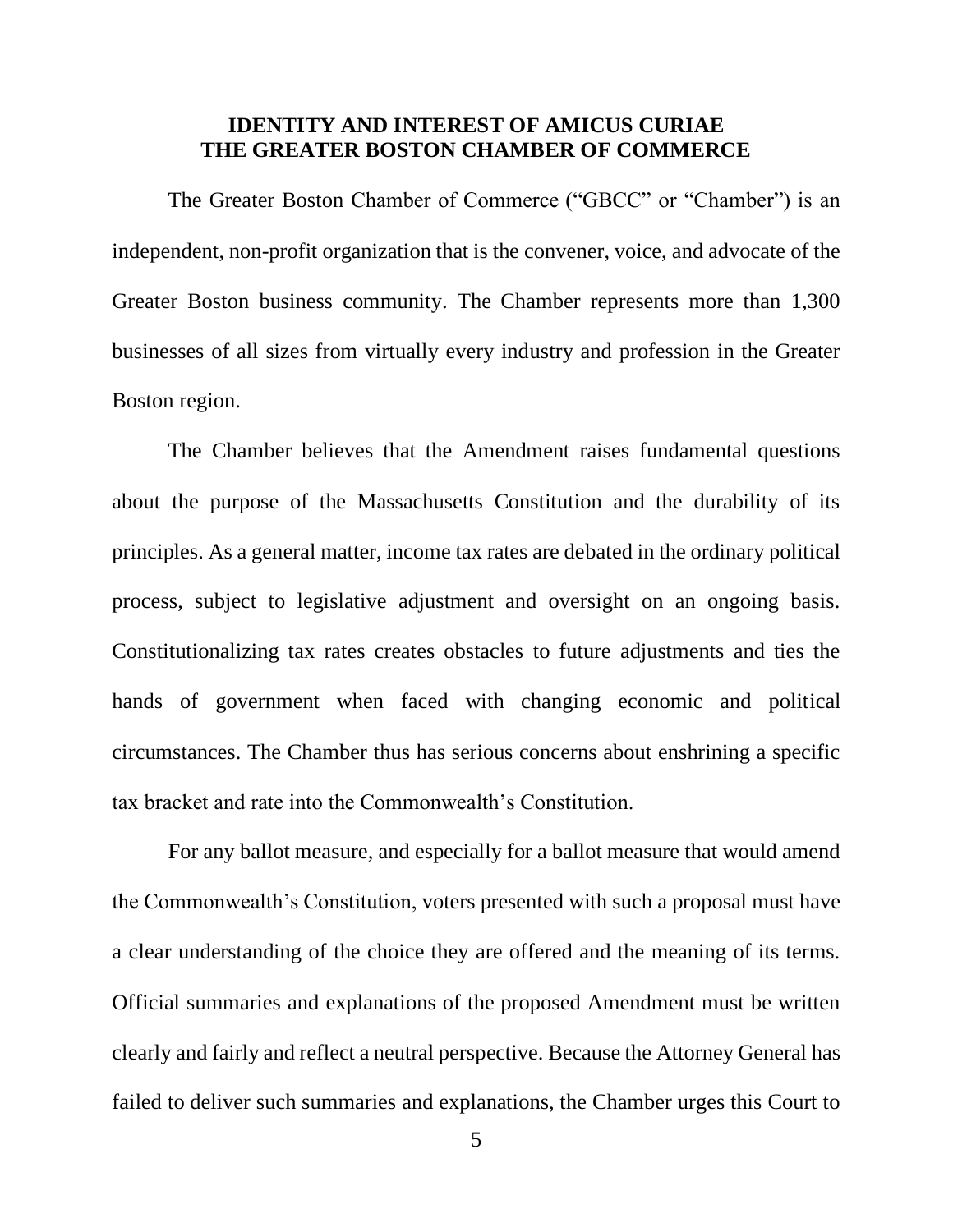## **IDENTITY AND INTEREST OF AMICUS CURIAE THE GREATER BOSTON CHAMBER OF COMMERCE**

<span id="page-4-0"></span>The Greater Boston Chamber of Commerce ("GBCC" or "Chamber") is an independent, non-profit organization that is the convener, voice, and advocate of the Greater Boston business community. The Chamber represents more than 1,300 businesses of all sizes from virtually every industry and profession in the Greater Boston region.

The Chamber believes that the Amendment raises fundamental questions about the purpose of the Massachusetts Constitution and the durability of its principles. As a general matter, income tax rates are debated in the ordinary political process, subject to legislative adjustment and oversight on an ongoing basis. Constitutionalizing tax rates creates obstacles to future adjustments and ties the hands of government when faced with changing economic and political circumstances. The Chamber thus has serious concerns about enshrining a specific tax bracket and rate into the Commonwealth's Constitution.

For any ballot measure, and especially for a ballot measure that would amend the Commonwealth's Constitution, voters presented with such a proposal must have a clear understanding of the choice they are offered and the meaning of its terms. Official summaries and explanations of the proposed Amendment must be written clearly and fairly and reflect a neutral perspective. Because the Attorney General has failed to deliver such summaries and explanations, the Chamber urges this Court to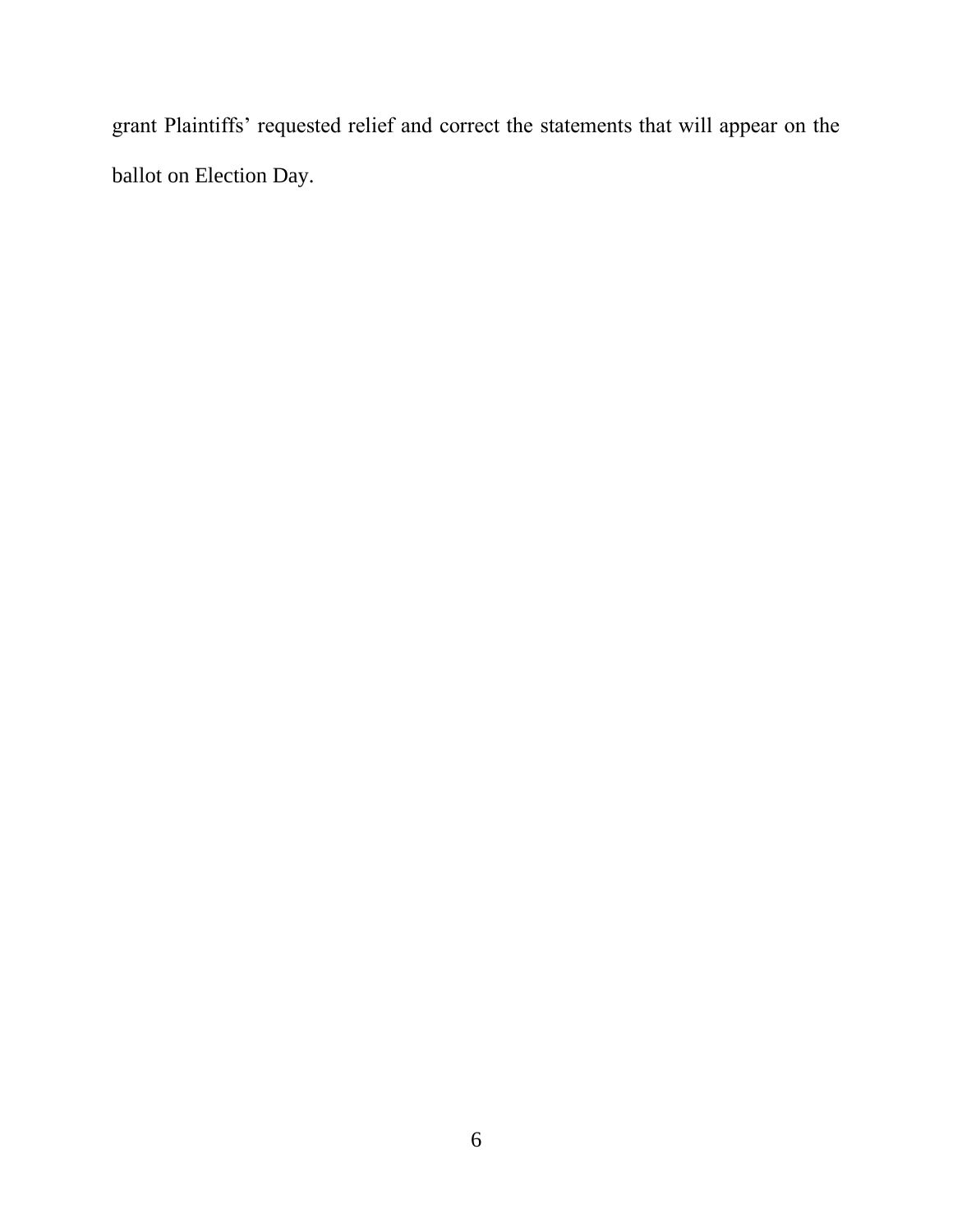grant Plaintiffs' requested relief and correct the statements that will appear on the ballot on Election Day.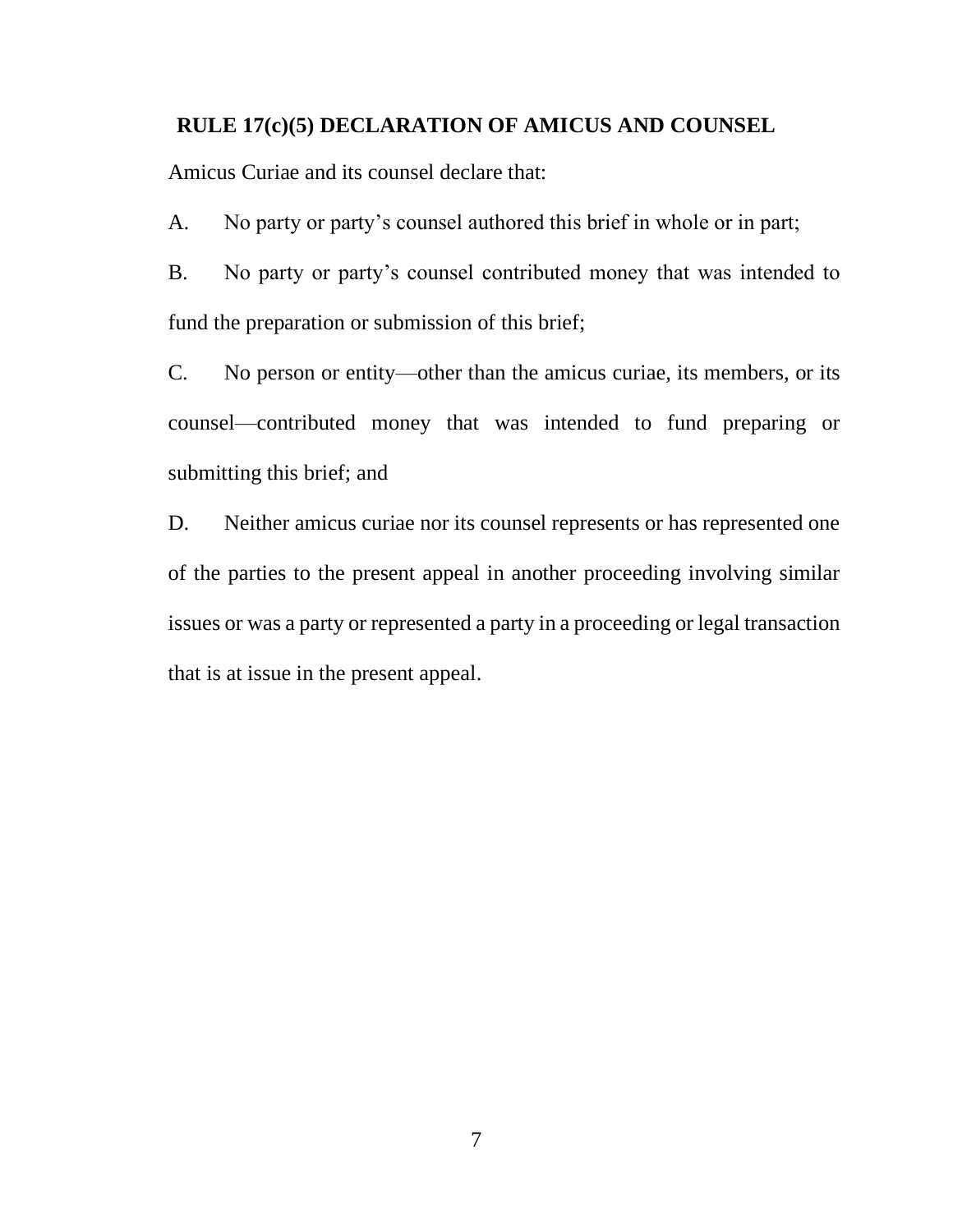#### <span id="page-6-0"></span>**RULE 17(c)(5) DECLARATION OF AMICUS AND COUNSEL**

Amicus Curiae and its counsel declare that:

A. No party or party's counsel authored this brief in whole or in part;

B. No party or party's counsel contributed money that was intended to fund the preparation or submission of this brief;

C. No person or entity—other than the amicus curiae, its members, or its counsel—contributed money that was intended to fund preparing or submitting this brief; and

D. Neither amicus curiae nor its counsel represents or has represented one of the parties to the present appeal in another proceeding involving similar issues or was a party or represented a party in a proceeding or legal transaction that is at issue in the present appeal.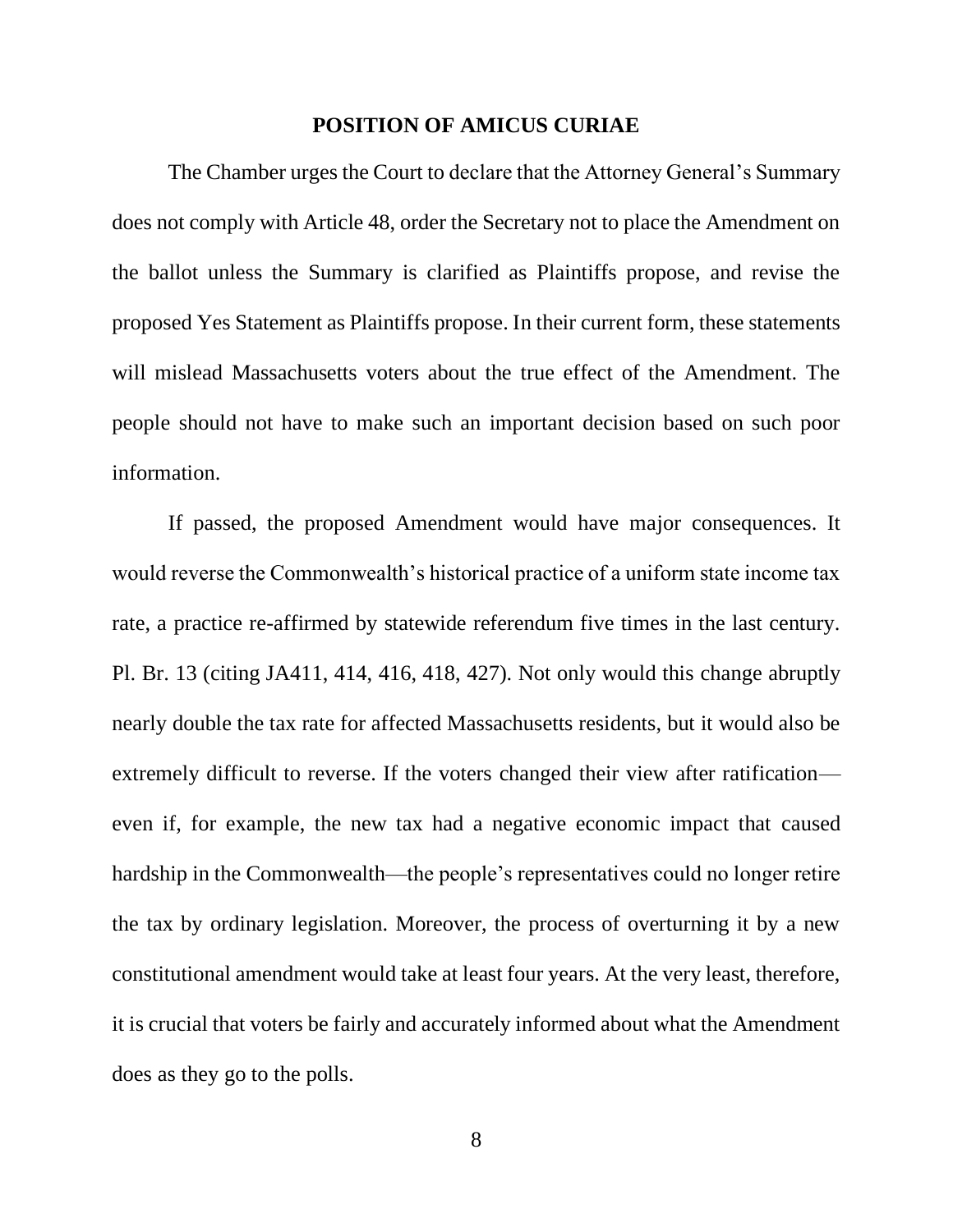#### **POSITION OF AMICUS CURIAE**

<span id="page-7-0"></span>The Chamber urges the Court to declare that the Attorney General's Summary does not comply with Article 48, order the Secretary not to place the Amendment on the ballot unless the Summary is clarified as Plaintiffs propose, and revise the proposed Yes Statement as Plaintiffs propose. In their current form, these statements will mislead Massachusetts voters about the true effect of the Amendment. The people should not have to make such an important decision based on such poor information.

If passed, the proposed Amendment would have major consequences. It would reverse the Commonwealth's historical practice of a uniform state income tax rate, a practice re-affirmed by statewide referendum five times in the last century. Pl. Br. 13 (citing JA411, 414, 416, 418, 427). Not only would this change abruptly nearly double the tax rate for affected Massachusetts residents, but it would also be extremely difficult to reverse. If the voters changed their view after ratification even if, for example, the new tax had a negative economic impact that caused hardship in the Commonwealth—the people's representatives could no longer retire the tax by ordinary legislation. Moreover, the process of overturning it by a new constitutional amendment would take at least four years. At the very least, therefore, it is crucial that voters be fairly and accurately informed about what the Amendment does as they go to the polls.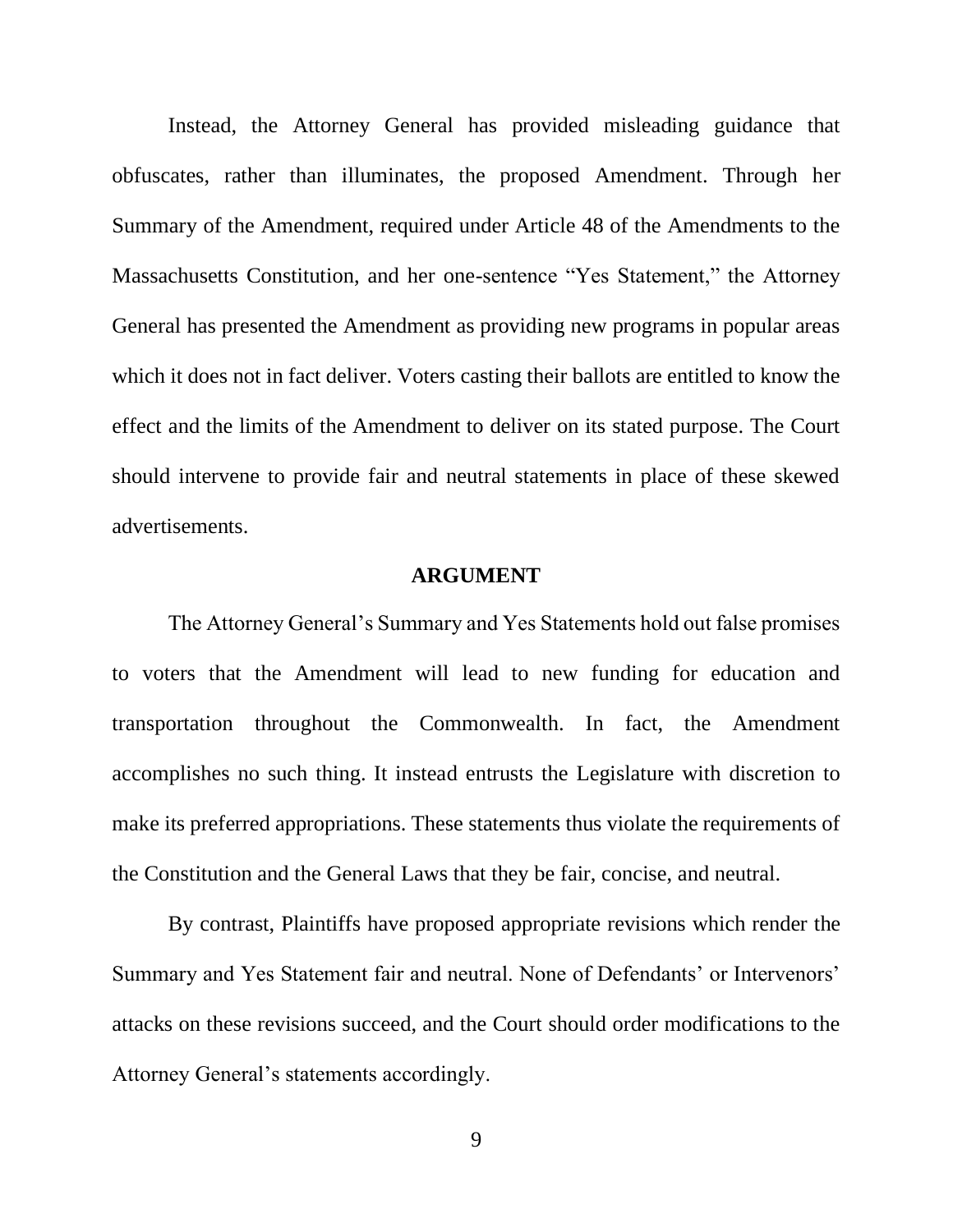Instead, the Attorney General has provided misleading guidance that obfuscates, rather than illuminates, the proposed Amendment. Through her Summary of the Amendment, required under Article 48 of the Amendments to the Massachusetts Constitution, and her one-sentence "Yes Statement," the Attorney General has presented the Amendment as providing new programs in popular areas which it does not in fact deliver. Voters casting their ballots are entitled to know the effect and the limits of the Amendment to deliver on its stated purpose. The Court should intervene to provide fair and neutral statements in place of these skewed advertisements.

#### **ARGUMENT**

<span id="page-8-0"></span>The Attorney General's Summary and Yes Statements hold out false promises to voters that the Amendment will lead to new funding for education and transportation throughout the Commonwealth. In fact, the Amendment accomplishes no such thing. It instead entrusts the Legislature with discretion to make its preferred appropriations. These statements thus violate the requirements of the Constitution and the General Laws that they be fair, concise, and neutral.

By contrast, Plaintiffs have proposed appropriate revisions which render the Summary and Yes Statement fair and neutral. None of Defendants' or Intervenors' attacks on these revisions succeed, and the Court should order modifications to the Attorney General's statements accordingly.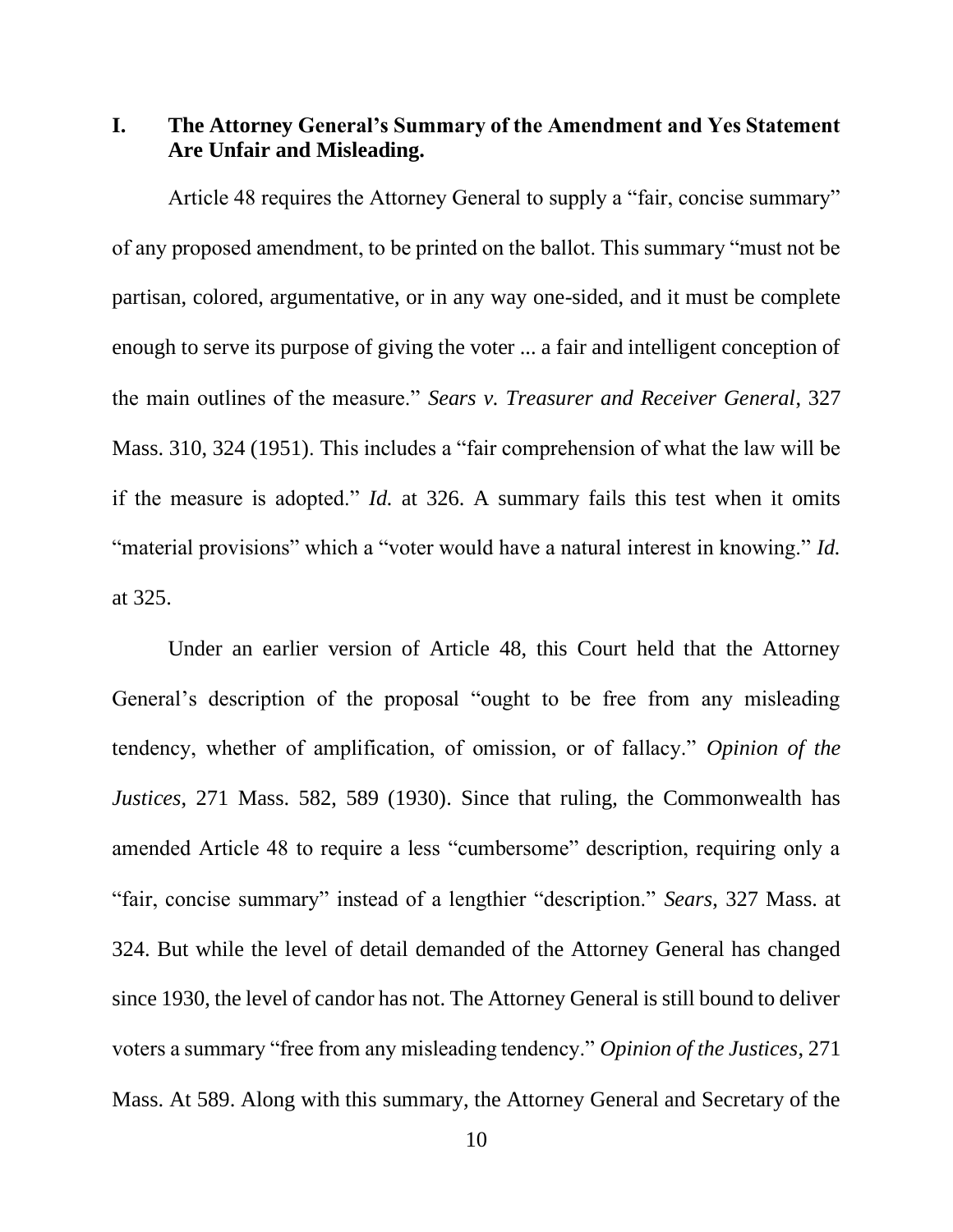<span id="page-9-0"></span>**I. The Attorney General's Summary of the Amendment and Yes Statement Are Unfair and Misleading.** 

Article 48 requires the Attorney General to supply a "fair, concise summary" of any proposed amendment, to be printed on the ballot. This summary "must not be partisan, colored, argumentative, or in any way one-sided, and it must be complete enough to serve its purpose of giving the voter ... a fair and intelligent conception of the main outlines of the measure." *Sears v. Treasurer and Receiver General*, 327 Mass. 310, 324 (1951). This includes a "fair comprehension of what the law will be if the measure is adopted." *Id.* at 326. A summary fails this test when it omits "material provisions" which a "voter would have a natural interest in knowing." *Id.* at 325.

Under an earlier version of Article 48, this Court held that the Attorney General's description of the proposal "ought to be free from any misleading tendency, whether of amplification, of omission, or of fallacy." *Opinion of the Justices*, 271 Mass. 582, 589 (1930). Since that ruling, the Commonwealth has amended Article 48 to require a less "cumbersome" description, requiring only a "fair, concise summary" instead of a lengthier "description." *Sears*, 327 Mass. at 324. But while the level of detail demanded of the Attorney General has changed since 1930, the level of candor has not. The Attorney General is still bound to deliver voters a summary "free from any misleading tendency." *Opinion of the Justices*, 271 Mass. At 589. Along with this summary, the Attorney General and Secretary of the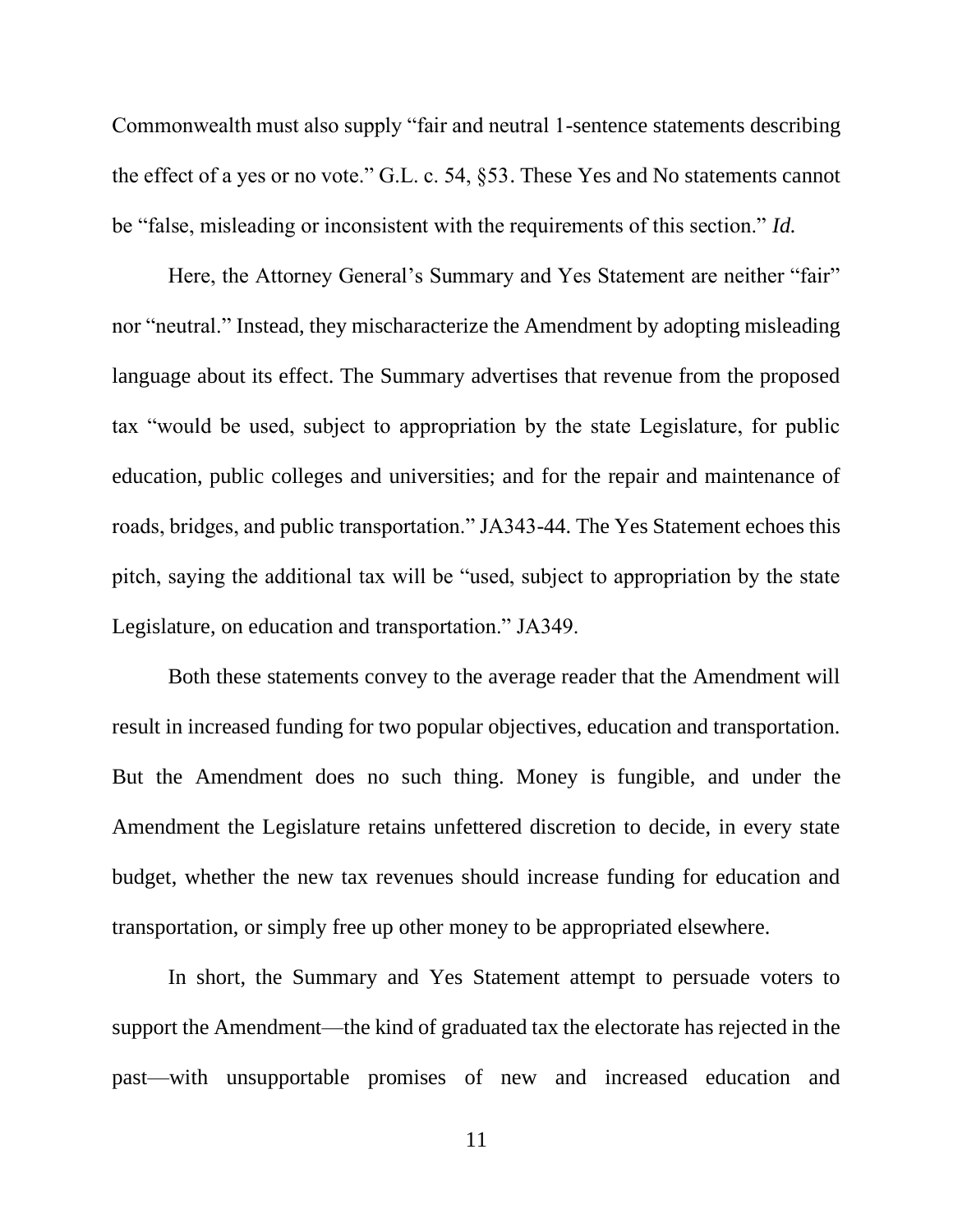Commonwealth must also supply "fair and neutral 1-sentence statements describing the effect of a yes or no vote." G.L. c. 54, §53. These Yes and No statements cannot be "false, misleading or inconsistent with the requirements of this section." *Id.*

Here, the Attorney General's Summary and Yes Statement are neither "fair" nor "neutral." Instead, they mischaracterize the Amendment by adopting misleading language about its effect. The Summary advertises that revenue from the proposed tax "would be used, subject to appropriation by the state Legislature, for public education, public colleges and universities; and for the repair and maintenance of roads, bridges, and public transportation." JA343-44. The Yes Statement echoes this pitch, saying the additional tax will be "used, subject to appropriation by the state Legislature, on education and transportation." JA349.

Both these statements convey to the average reader that the Amendment will result in increased funding for two popular objectives, education and transportation. But the Amendment does no such thing. Money is fungible, and under the Amendment the Legislature retains unfettered discretion to decide, in every state budget, whether the new tax revenues should increase funding for education and transportation, or simply free up other money to be appropriated elsewhere.

In short, the Summary and Yes Statement attempt to persuade voters to support the Amendment—the kind of graduated tax the electorate has rejected in the past—with unsupportable promises of new and increased education and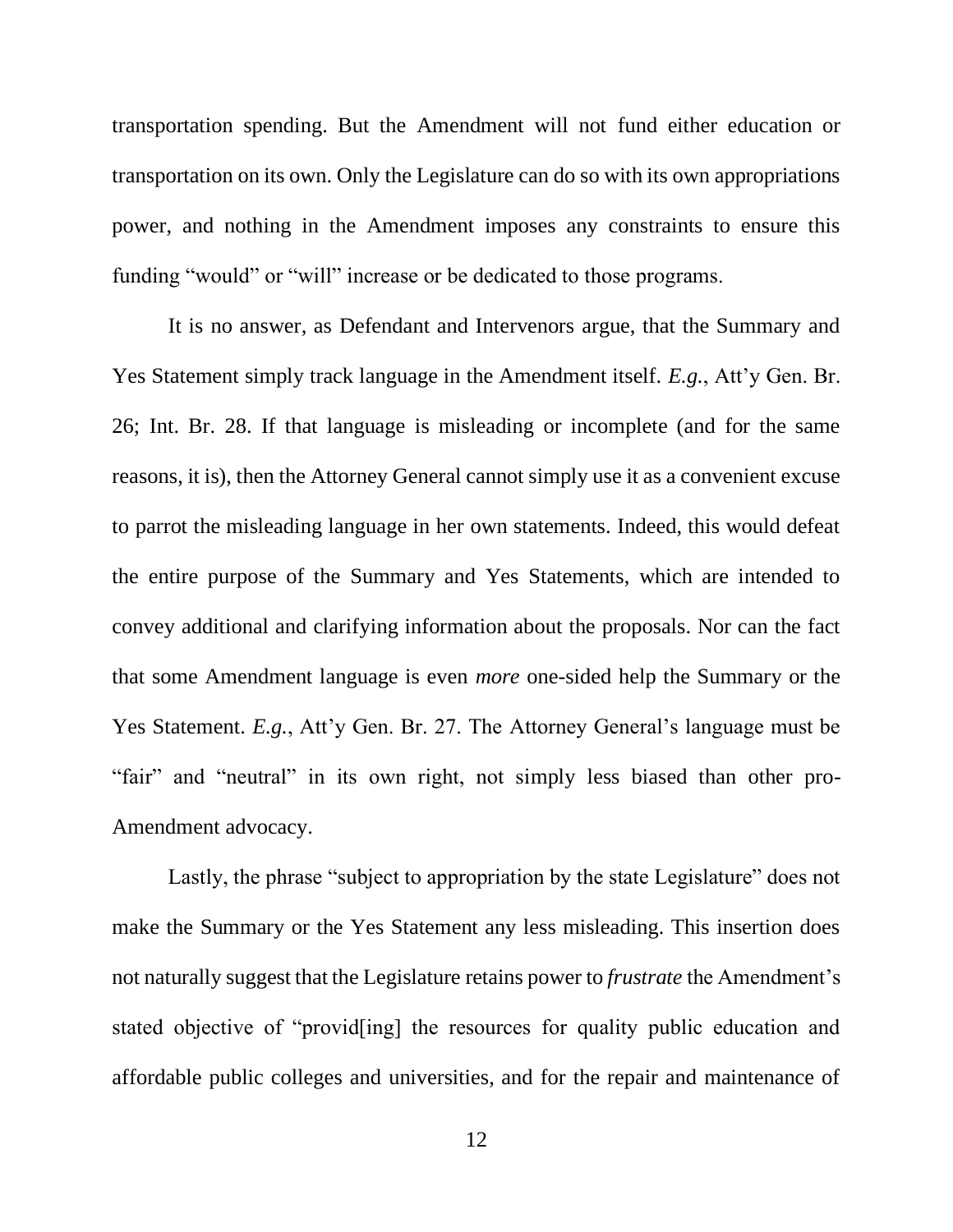transportation spending. But the Amendment will not fund either education or transportation on its own. Only the Legislature can do so with its own appropriations power, and nothing in the Amendment imposes any constraints to ensure this funding "would" or "will" increase or be dedicated to those programs.

It is no answer, as Defendant and Intervenors argue, that the Summary and Yes Statement simply track language in the Amendment itself. *E.g.*, Att'y Gen. Br. 26; Int. Br. 28. If that language is misleading or incomplete (and for the same reasons, it is), then the Attorney General cannot simply use it as a convenient excuse to parrot the misleading language in her own statements. Indeed, this would defeat the entire purpose of the Summary and Yes Statements, which are intended to convey additional and clarifying information about the proposals. Nor can the fact that some Amendment language is even *more* one-sided help the Summary or the Yes Statement. *E.g.*, Att'y Gen. Br. 27. The Attorney General's language must be "fair" and "neutral" in its own right, not simply less biased than other pro-Amendment advocacy.

Lastly, the phrase "subject to appropriation by the state Legislature" does not make the Summary or the Yes Statement any less misleading. This insertion does not naturally suggest that the Legislature retains power to *frustrate* the Amendment's stated objective of "provid[ing] the resources for quality public education and affordable public colleges and universities, and for the repair and maintenance of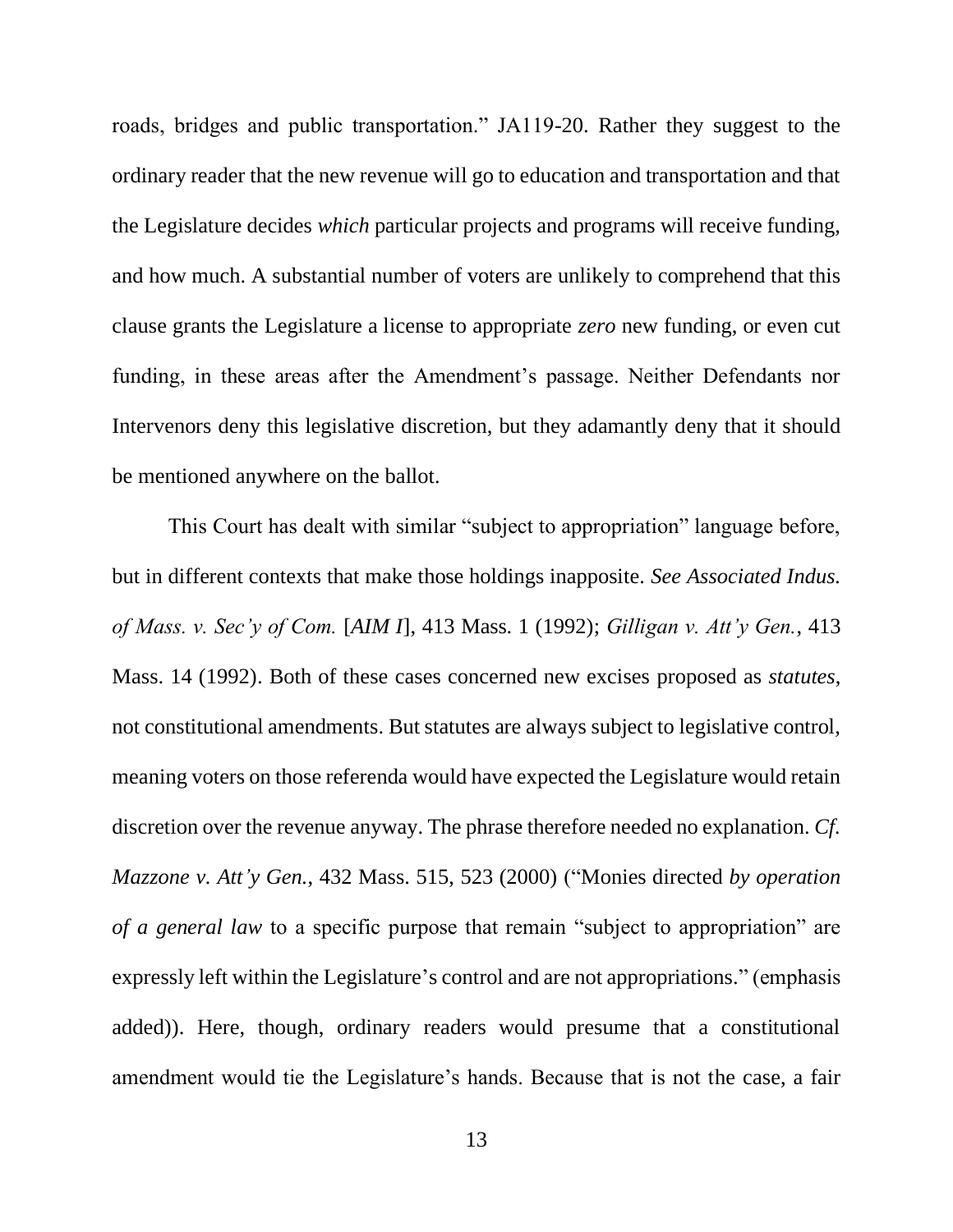roads, bridges and public transportation." JA119-20. Rather they suggest to the ordinary reader that the new revenue will go to education and transportation and that the Legislature decides *which* particular projects and programs will receive funding, and how much. A substantial number of voters are unlikely to comprehend that this clause grants the Legislature a license to appropriate *zero* new funding, or even cut funding, in these areas after the Amendment's passage. Neither Defendants nor Intervenors deny this legislative discretion, but they adamantly deny that it should be mentioned anywhere on the ballot.

This Court has dealt with similar "subject to appropriation" language before, but in different contexts that make those holdings inapposite. *See Associated Indus. of Mass. v. Sec'y of Com.* [*AIM I*], 413 Mass. 1 (1992); *Gilligan v. Att'y Gen.*, 413 Mass. 14 (1992). Both of these cases concerned new excises proposed as *statutes*, not constitutional amendments. But statutes are always subject to legislative control, meaning voters on those referenda would have expected the Legislature would retain discretion over the revenue anyway. The phrase therefore needed no explanation. *Cf. Mazzone v. Att'y Gen.*, 432 Mass. 515, 523 (2000) ("Monies directed *by operation of a general law* to a specific purpose that remain "subject to appropriation" are expressly left within the Legislature's control and are not appropriations." (emphasis added)). Here, though, ordinary readers would presume that a constitutional amendment would tie the Legislature's hands. Because that is not the case, a fair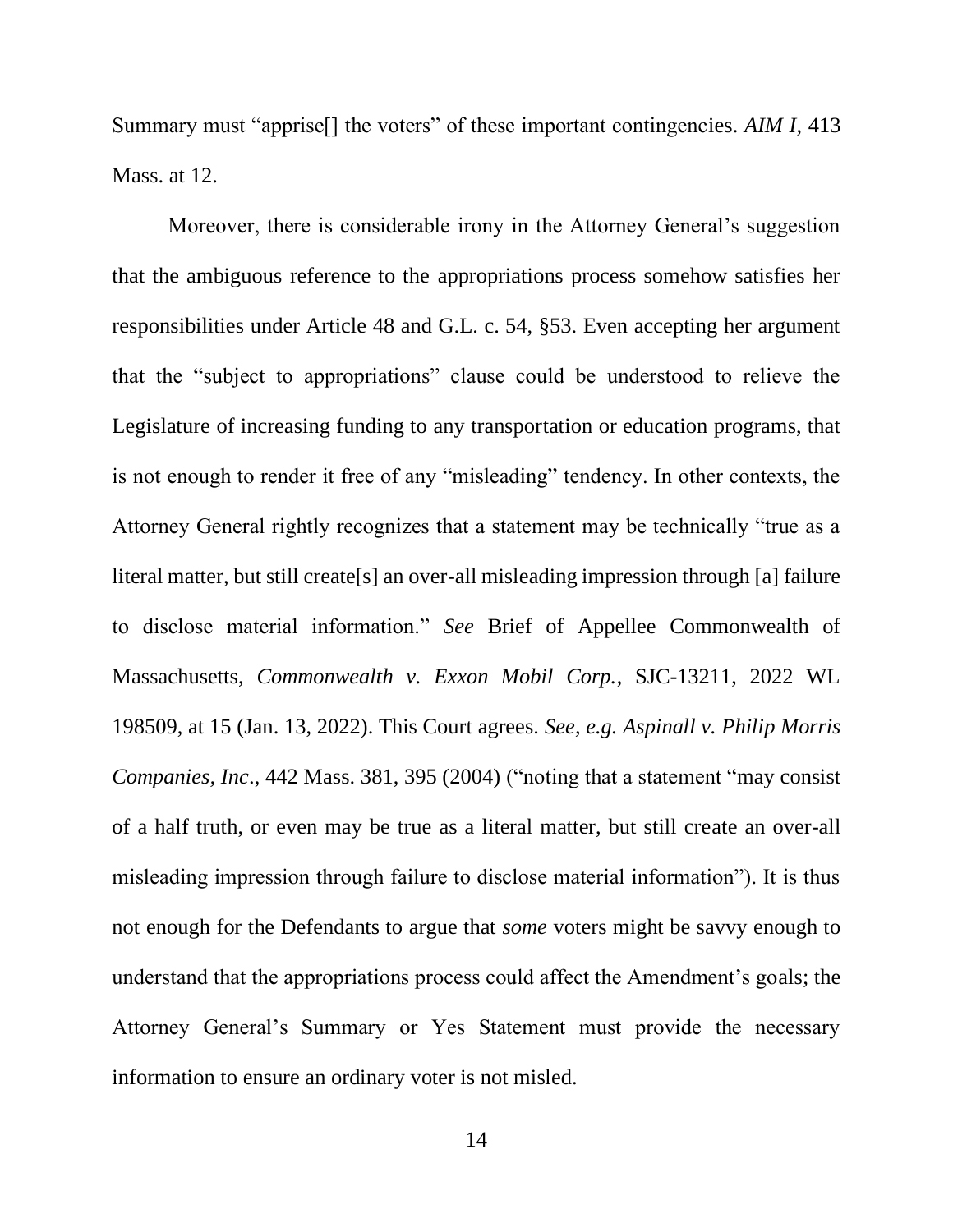Summary must "apprise[] the voters" of these important contingencies. *AIM I*, 413 Mass. at 12.

Moreover, there is considerable irony in the Attorney General's suggestion that the ambiguous reference to the appropriations process somehow satisfies her responsibilities under Article 48 and G.L. c. 54, §53. Even accepting her argument that the "subject to appropriations" clause could be understood to relieve the Legislature of increasing funding to any transportation or education programs, that is not enough to render it free of any "misleading" tendency. In other contexts, the Attorney General rightly recognizes that a statement may be technically "true as a literal matter, but still create[s] an over-all misleading impression through [a] failure to disclose material information." *See* Brief of Appellee Commonwealth of Massachusetts, *Commonwealth v. Exxon Mobil Corp.*, SJC-13211, 2022 WL 198509, at 15 (Jan. 13, 2022). This Court agrees. *See, e.g. Aspinall v. Philip Morris Companies, Inc*., 442 Mass. 381, 395 (2004) ("noting that a statement "may consist of a half truth, or even may be true as a literal matter, but still create an over-all misleading impression through failure to disclose material information"). It is thus not enough for the Defendants to argue that *some* voters might be savvy enough to understand that the appropriations process could affect the Amendment's goals; the Attorney General's Summary or Yes Statement must provide the necessary information to ensure an ordinary voter is not misled.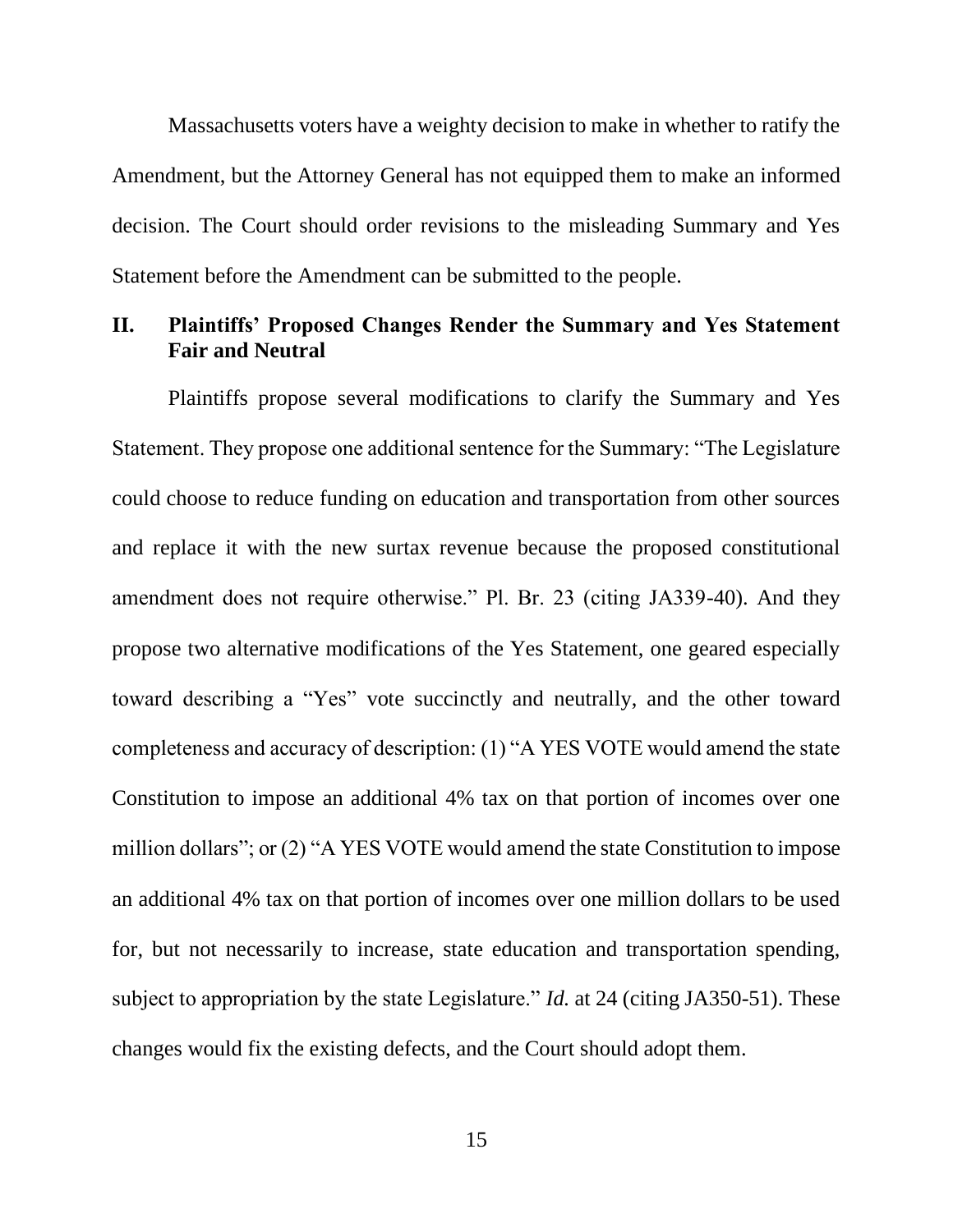Massachusetts voters have a weighty decision to make in whether to ratify the Amendment, but the Attorney General has not equipped them to make an informed decision. The Court should order revisions to the misleading Summary and Yes Statement before the Amendment can be submitted to the people.

## <span id="page-14-0"></span>**II. Plaintiffs' Proposed Changes Render the Summary and Yes Statement Fair and Neutral**

Plaintiffs propose several modifications to clarify the Summary and Yes Statement. They propose one additional sentence for the Summary: "The Legislature could choose to reduce funding on education and transportation from other sources and replace it with the new surtax revenue because the proposed constitutional amendment does not require otherwise." Pl. Br. 23 (citing JA339-40). And they propose two alternative modifications of the Yes Statement, one geared especially toward describing a "Yes" vote succinctly and neutrally, and the other toward completeness and accuracy of description: (1) "A YES VOTE would amend the state Constitution to impose an additional 4% tax on that portion of incomes over one million dollars"; or (2) "A YES VOTE would amend the state Constitution to impose an additional 4% tax on that portion of incomes over one million dollars to be used for, but not necessarily to increase, state education and transportation spending, subject to appropriation by the state Legislature." *Id.* at 24 (citing JA350-51). These changes would fix the existing defects, and the Court should adopt them.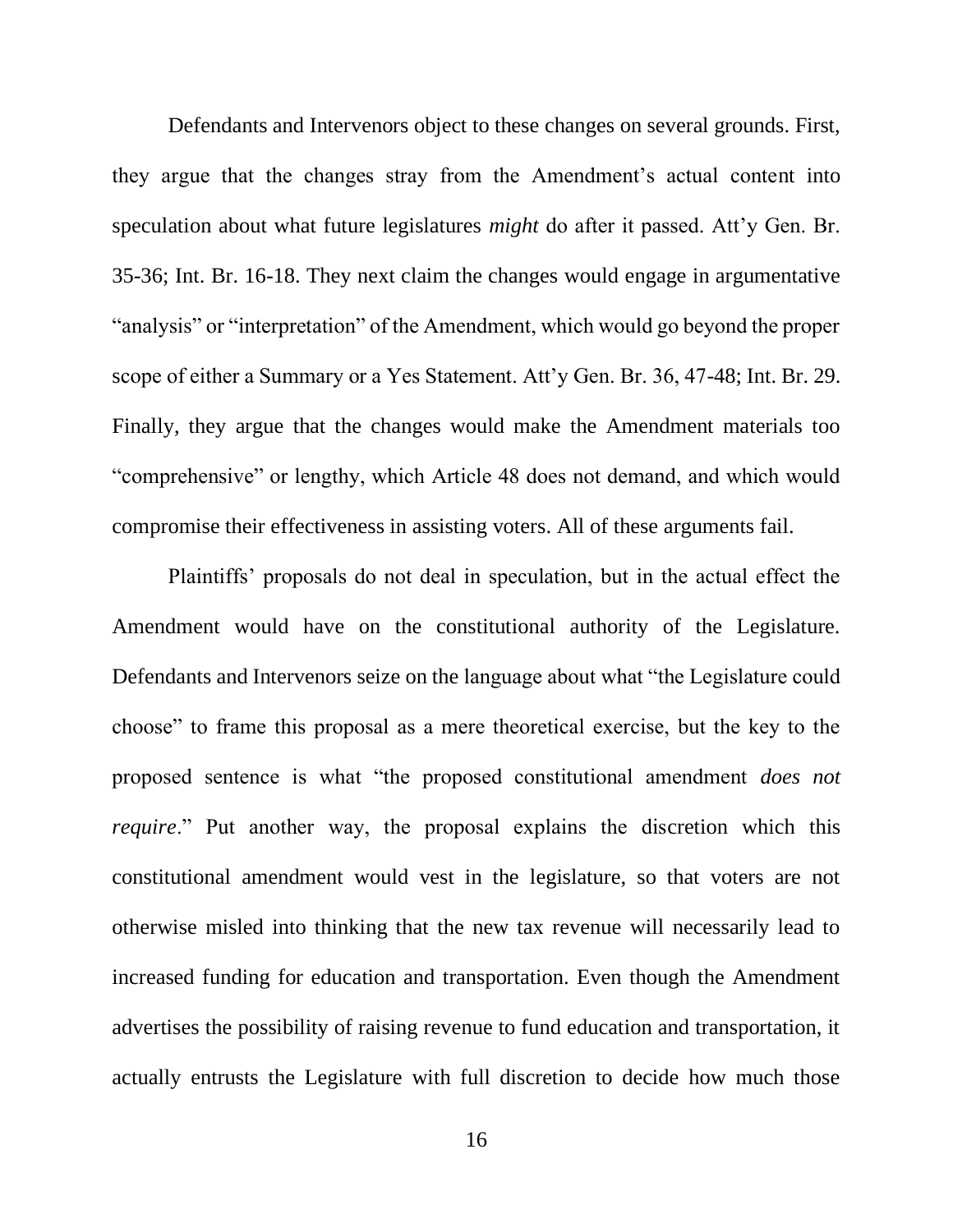Defendants and Intervenors object to these changes on several grounds. First, they argue that the changes stray from the Amendment's actual content into speculation about what future legislatures *might* do after it passed. Att'y Gen. Br. 35-36; Int. Br. 16-18. They next claim the changes would engage in argumentative "analysis" or "interpretation" of the Amendment, which would go beyond the proper scope of either a Summary or a Yes Statement. Att'y Gen. Br. 36, 47-48; Int. Br. 29. Finally, they argue that the changes would make the Amendment materials too "comprehensive" or lengthy, which Article 48 does not demand, and which would compromise their effectiveness in assisting voters. All of these arguments fail.

Plaintiffs' proposals do not deal in speculation, but in the actual effect the Amendment would have on the constitutional authority of the Legislature. Defendants and Intervenors seize on the language about what "the Legislature could choose" to frame this proposal as a mere theoretical exercise, but the key to the proposed sentence is what "the proposed constitutional amendment *does not require.*" Put another way, the proposal explains the discretion which this constitutional amendment would vest in the legislature, so that voters are not otherwise misled into thinking that the new tax revenue will necessarily lead to increased funding for education and transportation. Even though the Amendment advertises the possibility of raising revenue to fund education and transportation, it actually entrusts the Legislature with full discretion to decide how much those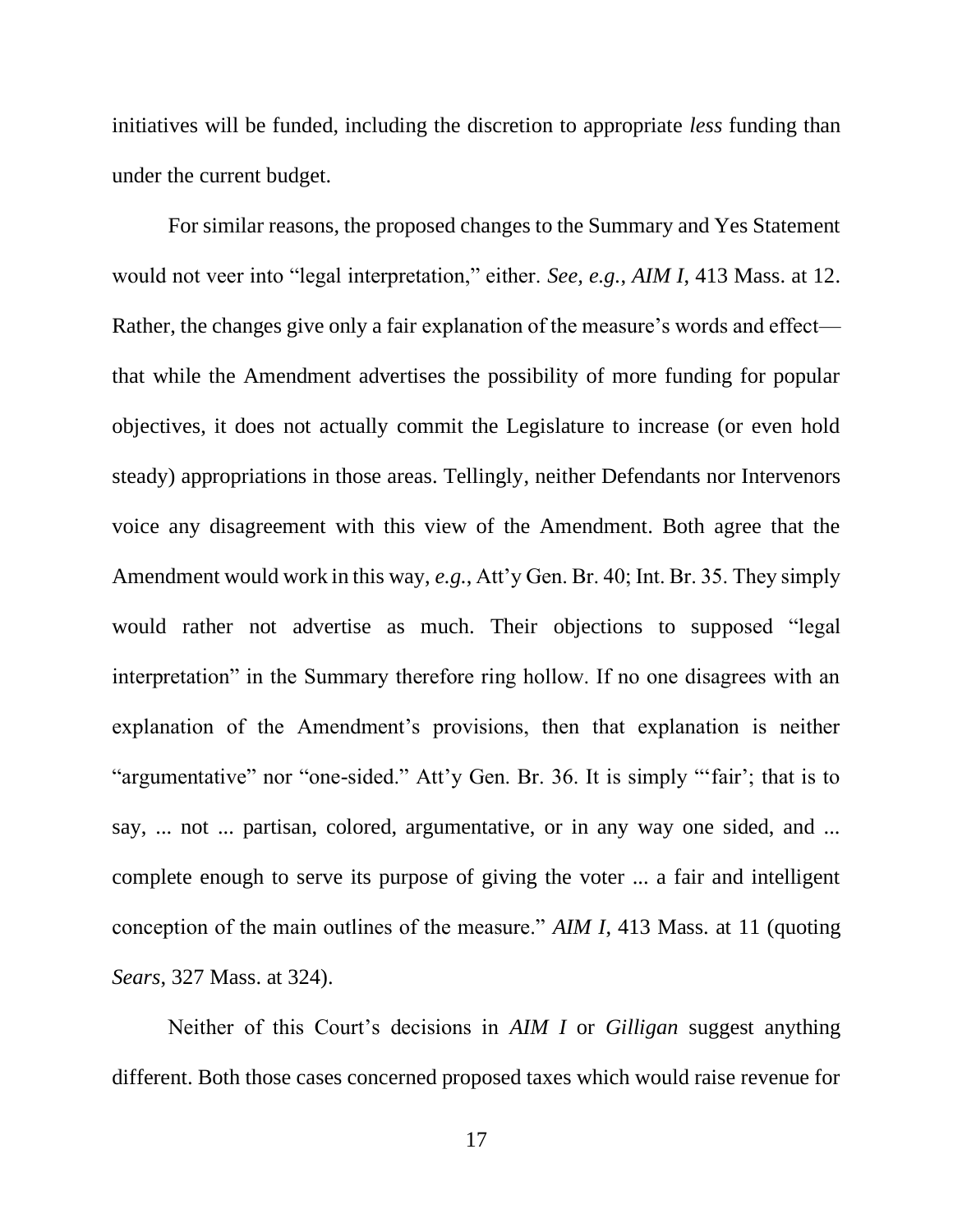initiatives will be funded, including the discretion to appropriate *less* funding than under the current budget.

For similar reasons, the proposed changes to the Summary and Yes Statement would not veer into "legal interpretation," either. *See, e.g.*, *AIM I*, 413 Mass. at 12. Rather, the changes give only a fair explanation of the measure's words and effect that while the Amendment advertises the possibility of more funding for popular objectives, it does not actually commit the Legislature to increase (or even hold steady) appropriations in those areas. Tellingly, neither Defendants nor Intervenors voice any disagreement with this view of the Amendment. Both agree that the Amendment would work in this way, *e.g.*, Att'y Gen. Br. 40; Int. Br. 35. They simply would rather not advertise as much. Their objections to supposed "legal interpretation" in the Summary therefore ring hollow. If no one disagrees with an explanation of the Amendment's provisions, then that explanation is neither "argumentative" nor "one-sided." Att'y Gen. Br. 36. It is simply "'fair'; that is to say, ... not ... partisan, colored, argumentative, or in any way one sided, and ... complete enough to serve its purpose of giving the voter ... a fair and intelligent conception of the main outlines of the measure." *AIM I*, 413 Mass. at 11 (quoting *Sears*, 327 Mass. at 324).

Neither of this Court's decisions in *AIM I* or *Gilligan* suggest anything different. Both those cases concerned proposed taxes which would raise revenue for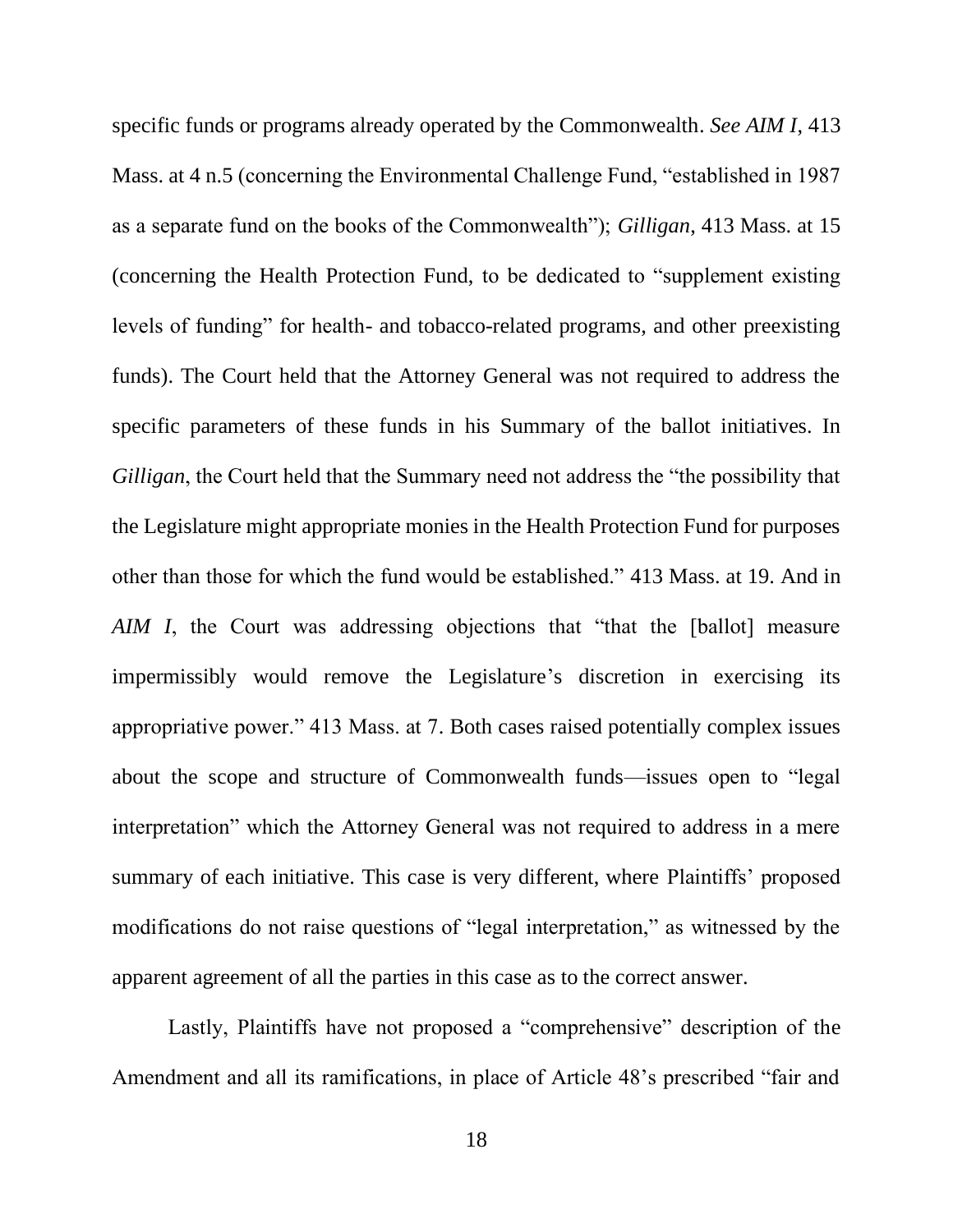specific funds or programs already operated by the Commonwealth. *See AIM I*, 413 Mass. at 4 n.5 (concerning the Environmental Challenge Fund, "established in 1987 as a separate fund on the books of the Commonwealth"); *Gilligan*, 413 Mass. at 15 (concerning the Health Protection Fund, to be dedicated to "supplement existing levels of funding" for health- and tobacco-related programs, and other preexisting funds). The Court held that the Attorney General was not required to address the specific parameters of these funds in his Summary of the ballot initiatives. In *Gilligan*, the Court held that the Summary need not address the "the possibility that the Legislature might appropriate monies in the Health Protection Fund for purposes other than those for which the fund would be established." 413 Mass. at 19. And in *AIM I*, the Court was addressing objections that "that the [ballot] measure impermissibly would remove the Legislature's discretion in exercising its appropriative power." 413 Mass. at 7. Both cases raised potentially complex issues about the scope and structure of Commonwealth funds—issues open to "legal interpretation" which the Attorney General was not required to address in a mere summary of each initiative. This case is very different, where Plaintiffs' proposed modifications do not raise questions of "legal interpretation," as witnessed by the apparent agreement of all the parties in this case as to the correct answer.

Lastly, Plaintiffs have not proposed a "comprehensive" description of the Amendment and all its ramifications, in place of Article 48's prescribed "fair and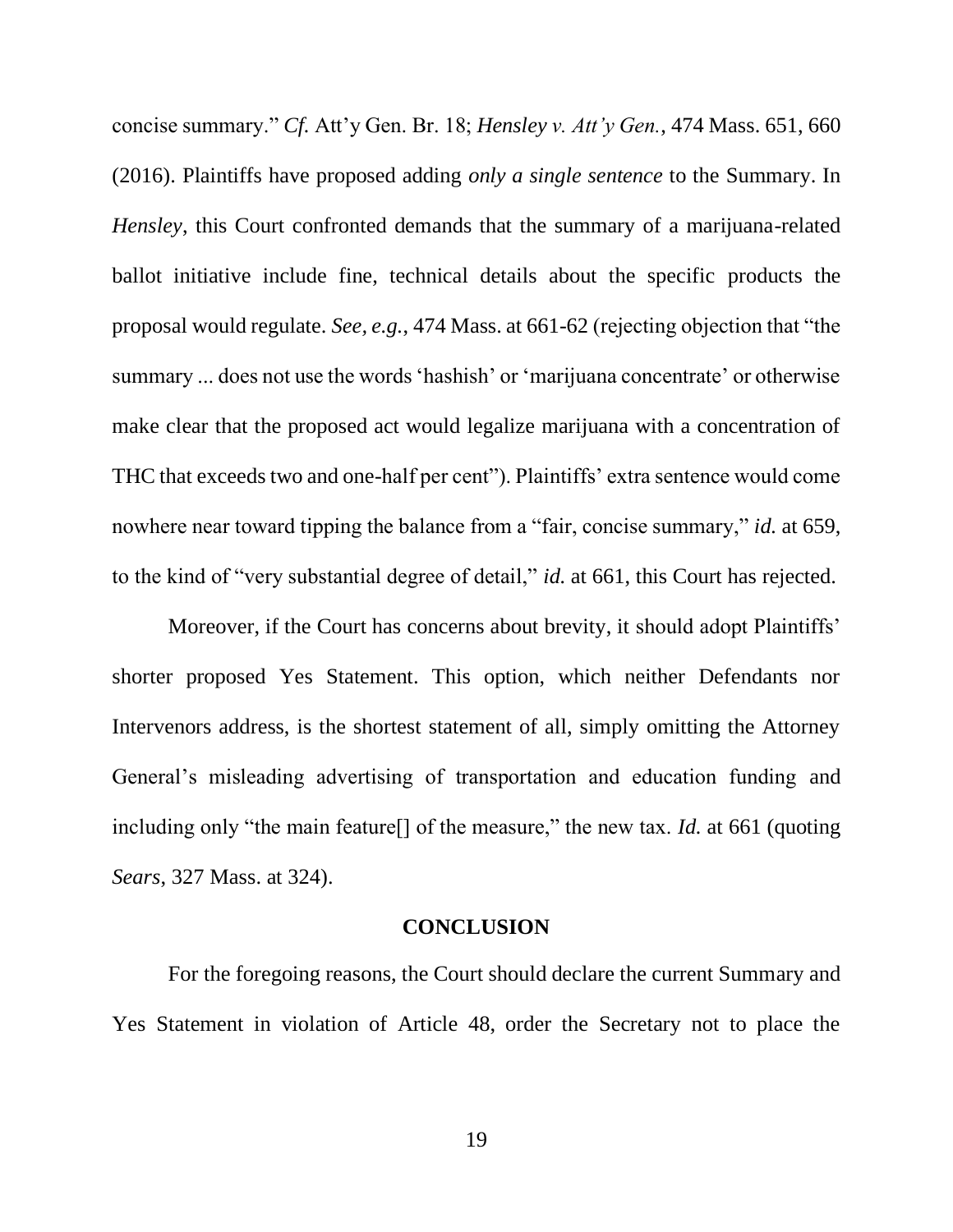concise summary." *Cf.* Att'y Gen. Br. 18; *Hensley v. Att'y Gen.*, 474 Mass. 651, 660 (2016). Plaintiffs have proposed adding *only a single sentence* to the Summary. In *Hensley*, this Court confronted demands that the summary of a marijuana-related ballot initiative include fine, technical details about the specific products the proposal would regulate. *See, e.g.*, 474 Mass. at 661-62 (rejecting objection that "the summary ... does not use the words 'hashish' or 'marijuana concentrate' or otherwise make clear that the proposed act would legalize marijuana with a concentration of THC that exceeds two and one-half per cent"). Plaintiffs' extra sentence would come nowhere near toward tipping the balance from a "fair, concise summary," *id.* at 659, to the kind of "very substantial degree of detail," *id.* at 661, this Court has rejected.

Moreover, if the Court has concerns about brevity, it should adopt Plaintiffs' shorter proposed Yes Statement. This option, which neither Defendants nor Intervenors address, is the shortest statement of all, simply omitting the Attorney General's misleading advertising of transportation and education funding and including only "the main feature[] of the measure," the new tax. *Id.* at 661 (quoting *Sears*, 327 Mass. at 324).

#### **CONCLUSION**

<span id="page-18-0"></span>For the foregoing reasons, the Court should declare the current Summary and Yes Statement in violation of Article 48, order the Secretary not to place the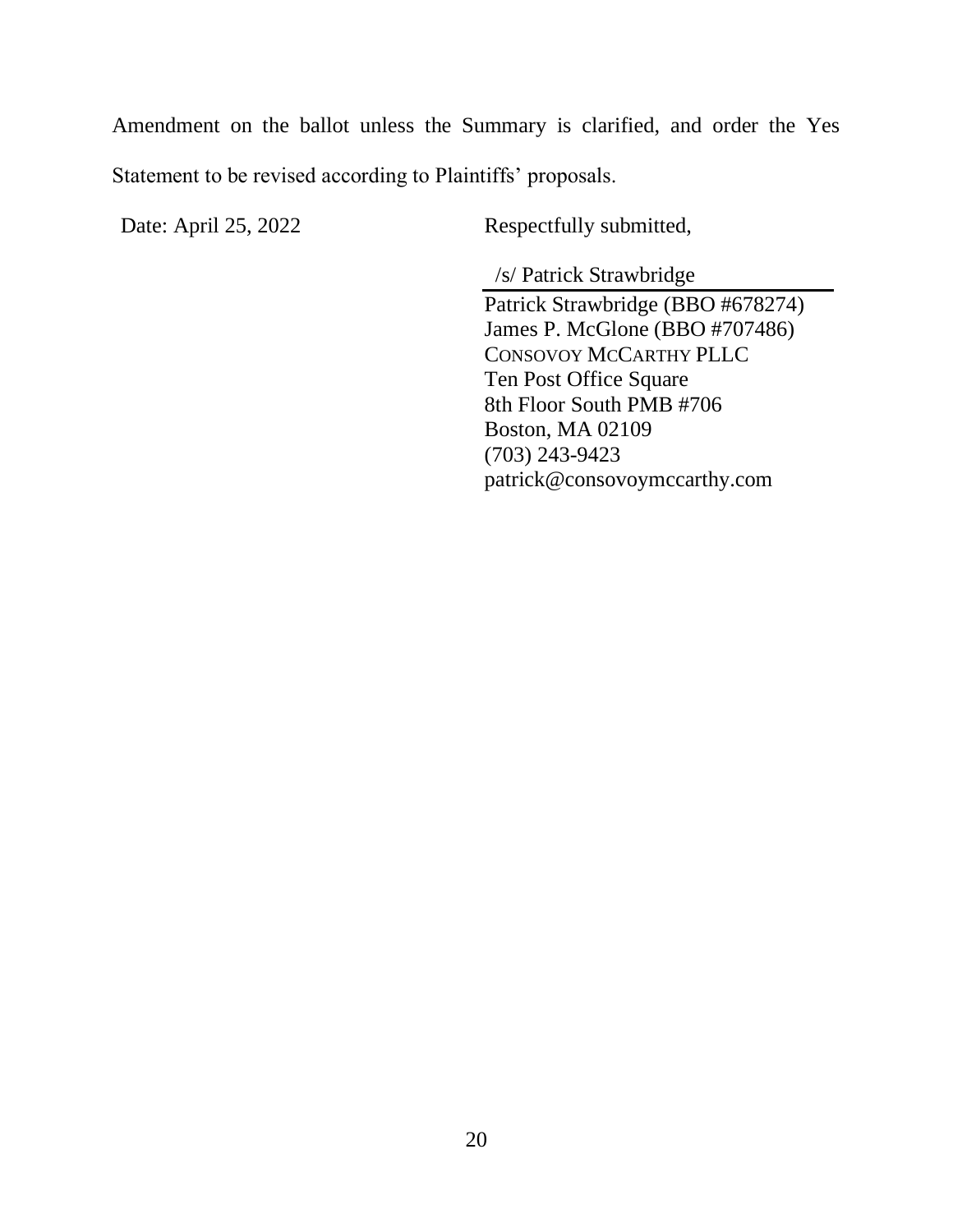Amendment on the ballot unless the Summary is clarified, and order the Yes Statement to be revised according to Plaintiffs' proposals.

Date: April 25, 2022 Respectfully submitted,

/s/ Patrick Strawbridge

Patrick Strawbridge (BBO #678274) James P. McGlone (BBO #707486) CONSOVOY MCCARTHY PLLC Ten Post Office Square 8th Floor South PMB #706 Boston, MA 02109 (703) 243-9423 patrick@consovoymccarthy.com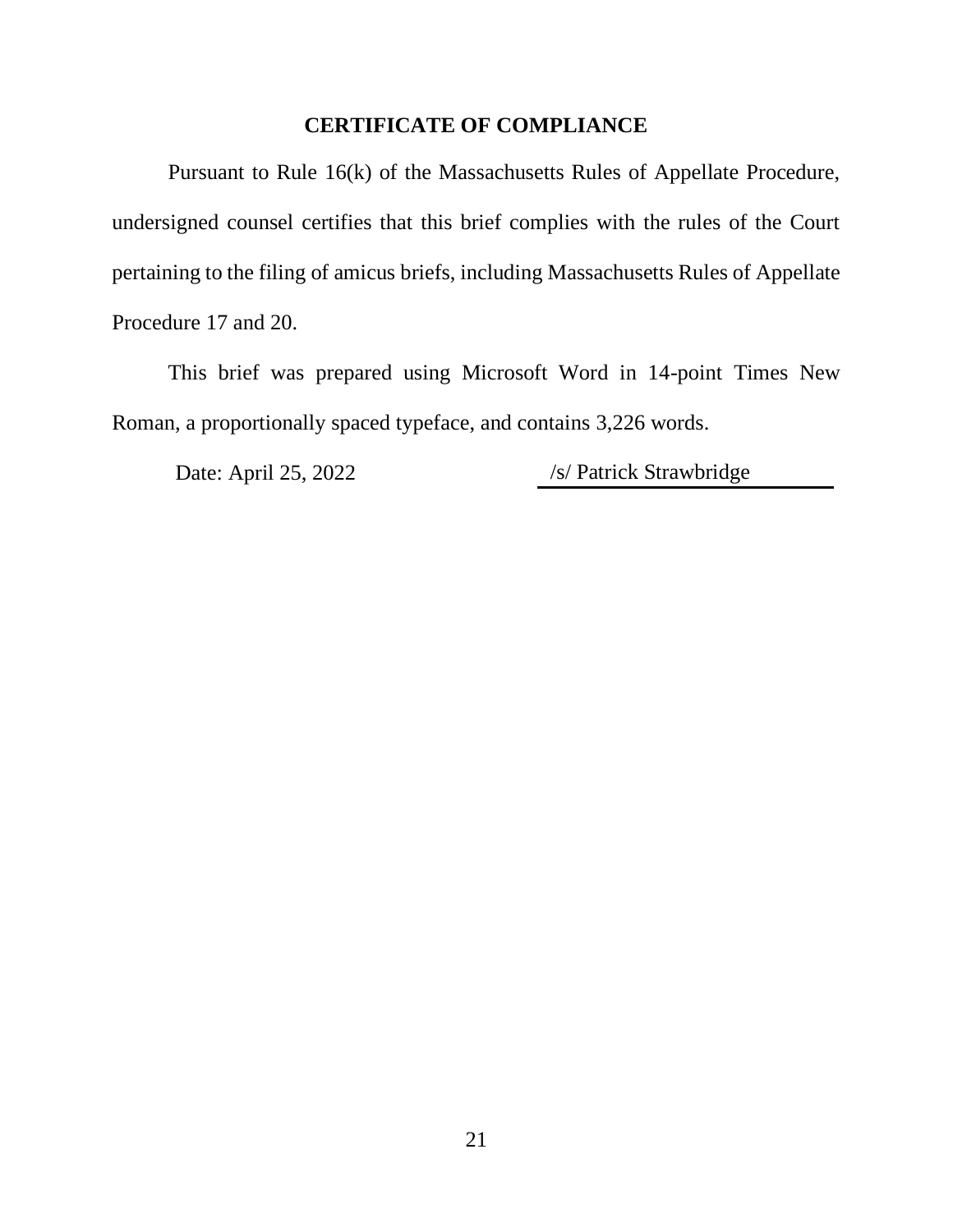## **CERTIFICATE OF COMPLIANCE**

<span id="page-20-0"></span>Pursuant to Rule 16(k) of the Massachusetts Rules of Appellate Procedure, undersigned counsel certifies that this brief complies with the rules of the Court pertaining to the filing of amicus briefs, including Massachusetts Rules of Appellate Procedure 17 and 20.

This brief was prepared using Microsoft Word in 14-point Times New Roman, a proportionally spaced typeface, and contains 3,226 words.

Date: April 25, 2022 /s/ Patrick Strawbridge